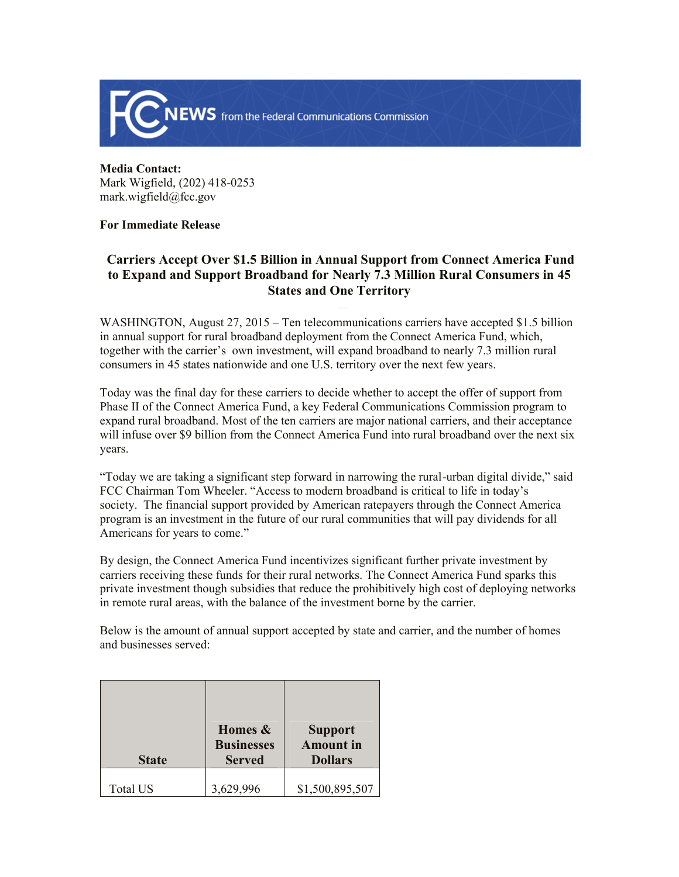

**Media Contact:**  Mark Wigfield, (202) 418-0253 mark.wigfield@fcc.gov

## **For Immediate Release**

## **Carriers Accept Over \$1.5 Billion in Annual Support from Connect America Fund to Expand and Support Broadband for Nearly 7.3 Million Rural Consumers in 45 States and One Territory**

WASHINGTON, August 27, 2015 – Ten telecommunications carriers have accepted \$1.5 billion in annual support for rural broadband deployment from the Connect America Fund, which, together with the carrier's own investment, will expand broadband to nearly 7.3 million rural consumers in 45 states nationwide and one U.S. territory over the next few years.

Today was the final day for these carriers to decide whether to accept the offer of support from Phase II of the Connect America Fund, a key Federal Communications Commission program to expand rural broadband. Most of the ten carriers are major national carriers, and their acceptance will infuse over \$9 billion from the Connect America Fund into rural broadband over the next six years.

"Today we are taking a significant step forward in narrowing the rural-urban digital divide," said FCC Chairman Tom Wheeler. "Access to modern broadband is critical to life in today's society. The financial support provided by American ratepayers through the Connect America program is an investment in the future of our rural communities that will pay dividends for all Americans for years to come."

By design, the Connect America Fund incentivizes significant further private investment by carriers receiving these funds for their rural networks. The Connect America Fund sparks this private investment though subsidies that reduce the prohibitively high cost of deploying networks in remote rural areas, with the balance of the investment borne by the carrier.

Below is the amount of annual support accepted by state and carrier, and the number of homes and businesses served:

| <b>State</b>    | Homes &<br><b>Businesses</b><br><b>Served</b> | <b>Support</b><br><b>Amount</b> in<br><b>Dollars</b> |
|-----------------|-----------------------------------------------|------------------------------------------------------|
| <b>Total US</b> | 3,629,996                                     | \$1,500,895,507                                      |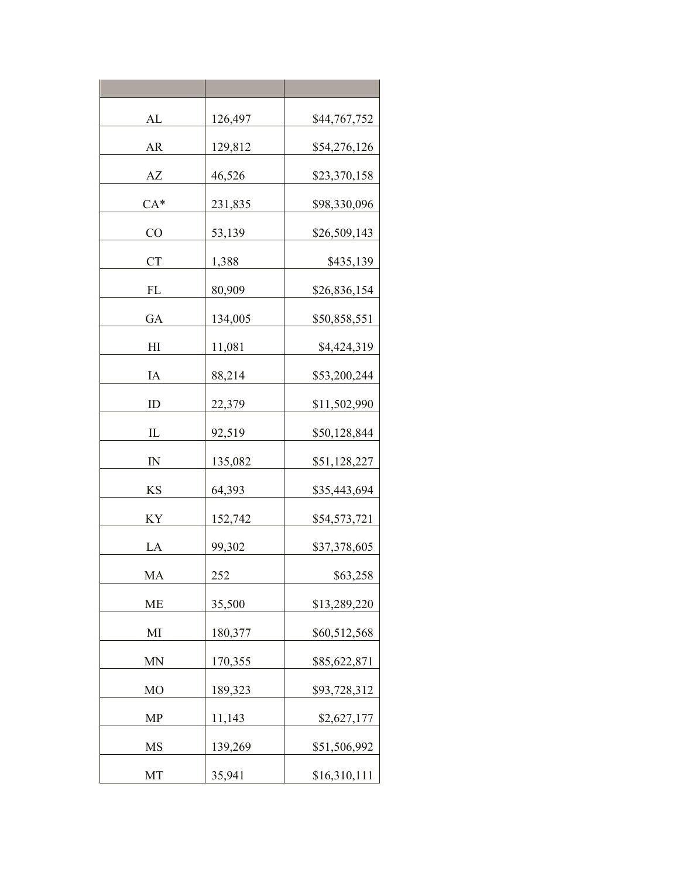| AL             | 126,497 | \$44,767,752 |
|----------------|---------|--------------|
| AR             | 129,812 | \$54,276,126 |
| AZ             | 46,526  | \$23,370,158 |
| $CA*$          | 231,835 | \$98,330,096 |
| CO             | 53,139  | \$26,509,143 |
| <b>CT</b>      | 1,388   | \$435,139    |
| FL             | 80,909  | \$26,836,154 |
| GA             | 134,005 | \$50,858,551 |
| H <sub>I</sub> | 11,081  | \$4,424,319  |
| IA             | 88,214  | \$53,200,244 |
| ID             | 22,379  | \$11,502,990 |
| $\mathbb{L}$   | 92,519  | \$50,128,844 |
| $\mathbb{N}$   | 135,082 | \$51,128,227 |
| KS             | 64,393  | \$35,443,694 |
| ΚY             | 152,742 | \$54,573,721 |
| LA             | 99,302  | \$37,378,605 |
| MA             | 252     | \$63,258     |
| <b>ME</b>      | 35,500  | \$13,289,220 |
| MI             | 180,377 | \$60,512,568 |
| MN             | 170,355 | \$85,622,871 |
| M <sub>O</sub> | 189,323 | \$93,728,312 |
| MP             | 11,143  | \$2,627,177  |
| MS             | 139,269 | \$51,506,992 |
| MT             | 35,941  | \$16,310,111 |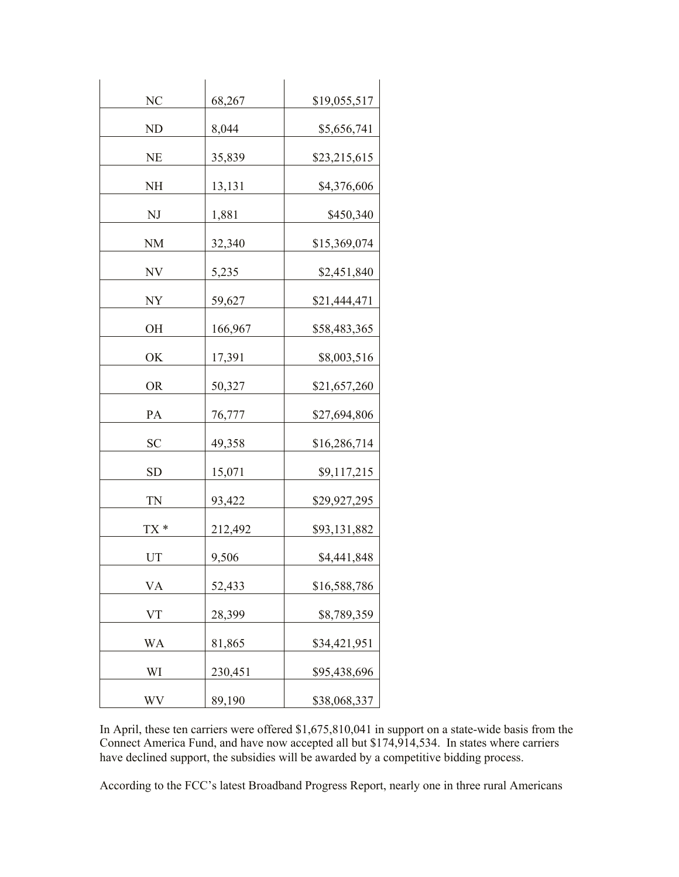| NC        | 68,267  | \$19,055,517 |
|-----------|---------|--------------|
| ND        | 8,044   | \$5,656,741  |
| <b>NE</b> | 35,839  | \$23,215,615 |
| NH        | 13,131  | \$4,376,606  |
| NJ        | 1,881   | \$450,340    |
| <b>NM</b> | 32,340  | \$15,369,074 |
|           |         |              |
| NV        | 5,235   | \$2,451,840  |
| NY        | 59,627  | \$21,444,471 |
| OН        | 166,967 | \$58,483,365 |
| ОK        | 17,391  | \$8,003,516  |
| <b>OR</b> | 50,327  | \$21,657,260 |
| PA        | 76,777  | \$27,694,806 |
| <b>SC</b> | 49,358  | \$16,286,714 |
| <b>SD</b> | 15,071  | \$9,117,215  |
| TN        | 93,422  | \$29,927,295 |
| TX *      | 212,492 | \$93,131,882 |
| UT        | 9,506   | \$4,441,848  |
| VA        | 52,433  | \$16,588,786 |
| VT        | 28,399  | \$8,789,359  |
| WA        | 81,865  | \$34,421,951 |
| WI        | 230,451 | \$95,438,696 |
| WV        | 89,190  | \$38,068,337 |

In April, these ten carriers were offered \$1,675,810,041 in support on a state-wide basis from the Connect America Fund, and have now accepted all but \$174,914,534. In states where carriers have declined support, the subsidies will be awarded by a competitive bidding process.

According to the FCC's latest Broadband Progress Report, nearly one in three rural Americans